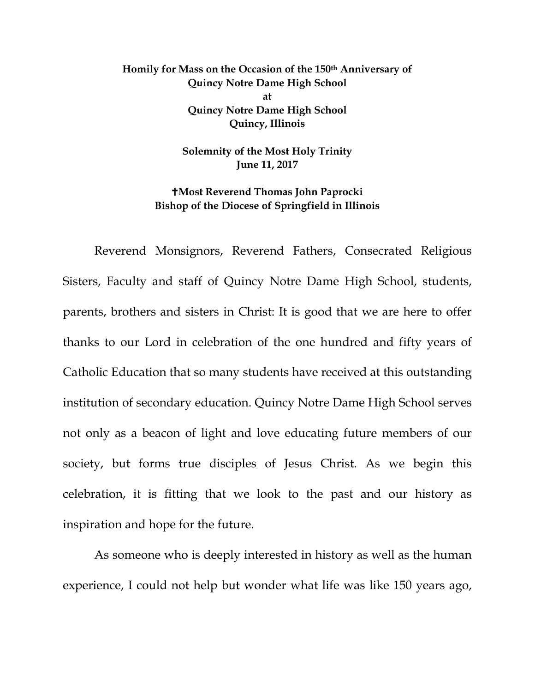## **Homily for Mass on the Occasion of the 150th Anniversary of Quincy Notre Dame High School at Quincy Notre Dame High School Quincy, Illinois**

**Solemnity of the Most Holy Trinity June 11, 2017**

**Most Reverend Thomas John Paprocki Bishop of the Diocese of Springfield in Illinois**

Reverend Monsignors, Reverend Fathers, Consecrated Religious Sisters, Faculty and staff of Quincy Notre Dame High School, students, parents, brothers and sisters in Christ: It is good that we are here to offer thanks to our Lord in celebration of the one hundred and fifty years of Catholic Education that so many students have received at this outstanding institution of secondary education. Quincy Notre Dame High School serves not only as a beacon of light and love educating future members of our society, but forms true disciples of Jesus Christ. As we begin this celebration, it is fitting that we look to the past and our history as inspiration and hope for the future.

As someone who is deeply interested in history as well as the human experience, I could not help but wonder what life was like 150 years ago,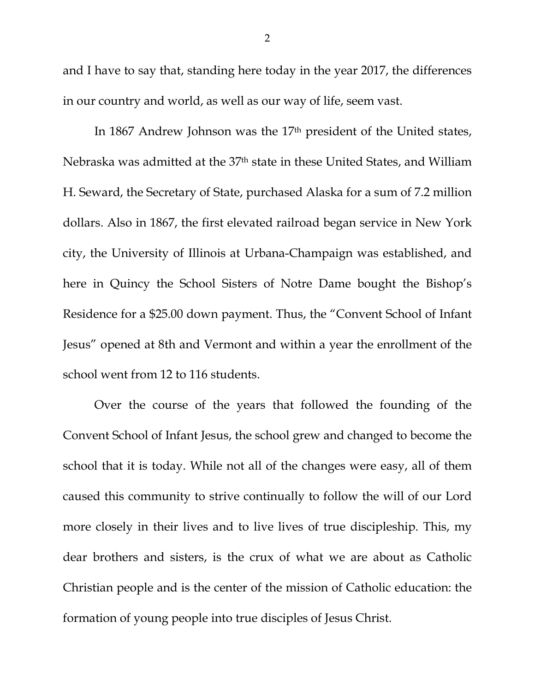and I have to say that, standing here today in the year 2017, the differences in our country and world, as well as our way of life, seem vast.

In 1867 Andrew Johnson was the 17th president of the United states, Nebraska was admitted at the 37th state in these United States, and William H. Seward, the Secretary of State, purchased Alaska for a sum of 7.2 million dollars. Also in 1867, the first elevated railroad began service in New York city, the University of Illinois at Urbana-Champaign was established, and here in Quincy the School Sisters of Notre Dame bought the Bishop's Residence for a \$25.00 down payment. Thus, the "Convent School of Infant Jesus" opened at 8th and Vermont and within a year the enrollment of the school went from 12 to 116 students.

Over the course of the years that followed the founding of the Convent School of Infant Jesus, the school grew and changed to become the school that it is today. While not all of the changes were easy, all of them caused this community to strive continually to follow the will of our Lord more closely in their lives and to live lives of true discipleship. This, my dear brothers and sisters, is the crux of what we are about as Catholic Christian people and is the center of the mission of Catholic education: the formation of young people into true disciples of Jesus Christ.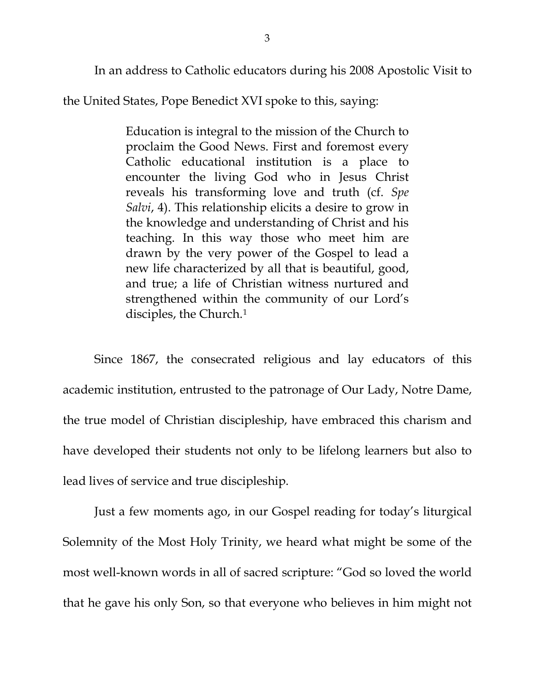In an address to Catholic educators during his 2008 Apostolic Visit to

the United States, Pope Benedict XVI spoke to this, saying:

Education is integral to the mission of the Church to proclaim the Good News. First and foremost every Catholic educational institution is a place to encounter the living God who in Jesus Christ reveals his transforming love and truth (cf. *[Spe](http://w2.vatican.va/content/benedict-xvi/en/encyclicals/documents/hf_ben-xvi_enc_20071130_spe-salvi.html)  [Salvi](http://w2.vatican.va/content/benedict-xvi/en/encyclicals/documents/hf_ben-xvi_enc_20071130_spe-salvi.html)*, 4). This relationship elicits a desire to grow in the knowledge and understanding of Christ and his teaching. In this way those who meet him are drawn by the very power of the Gospel to lead a new life characterized by all that is beautiful, good, and true; a life of Christian witness nurtured and strengthened within the community of our Lord's disciples, the Church.<sup>[1](#page-5-0)</sup>

Since 1867, the consecrated religious and lay educators of this academic institution, entrusted to the patronage of Our Lady, Notre Dame, the true model of Christian discipleship, have embraced this charism and have developed their students not only to be lifelong learners but also to lead lives of service and true discipleship.

Just a few moments ago, in our Gospel reading for today's liturgical Solemnity of the Most Holy Trinity, we heard what might be some of the most well-known words in all of sacred scripture: "God so loved the world that he gave his only Son, so that everyone who believes in him might not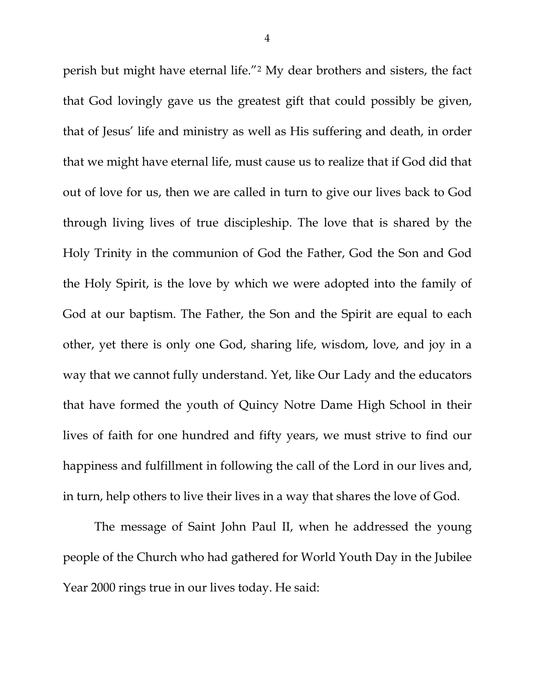perish but might have eternal life."[2](#page-5-1) My dear brothers and sisters, the fact that God lovingly gave us the greatest gift that could possibly be given, that of Jesus' life and ministry as well as His suffering and death, in order that we might have eternal life, must cause us to realize that if God did that out of love for us, then we are called in turn to give our lives back to God through living lives of true discipleship. The love that is shared by the Holy Trinity in the communion of God the Father, God the Son and God the Holy Spirit, is the love by which we were adopted into the family of God at our baptism. The Father, the Son and the Spirit are equal to each other, yet there is only one God, sharing life, wisdom, love, and joy in a way that we cannot fully understand. Yet, like Our Lady and the educators that have formed the youth of Quincy Notre Dame High School in their lives of faith for one hundred and fifty years, we must strive to find our happiness and fulfillment in following the call of the Lord in our lives and, in turn, help others to live their lives in a way that shares the love of God.

The message of Saint John Paul II, when he addressed the young people of the Church who had gathered for World Youth Day in the Jubilee Year 2000 rings true in our lives today. He said: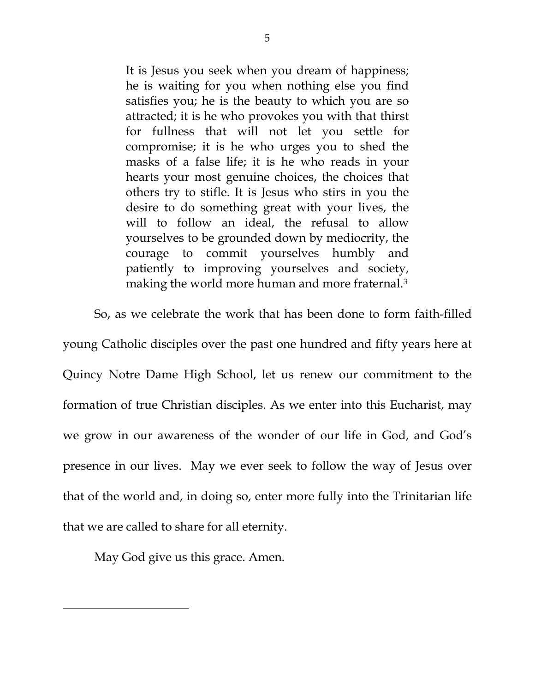It is Jesus you seek when you dream of happiness; he is waiting for you when nothing else you find satisfies you; he is the beauty to which you are so attracted; it is he who provokes you with that thirst for fullness that will not let you settle for compromise; it is he who urges you to shed the masks of a false life; it is he who reads in your hearts your most genuine choices, the choices that others try to stifle. It is Jesus who stirs in you the desire to do something great with your lives, the will to follow an ideal, the refusal to allow yourselves to be grounded down by mediocrity, the courage to commit yourselves humbly and patiently to improving yourselves and society, making the world more human and more fraternal.[3](#page-5-2)

So, as we celebrate the work that has been done to form faith-filled

young Catholic disciples over the past one hundred and fifty years here at Quincy Notre Dame High School, let us renew our commitment to the formation of true Christian disciples. As we enter into this Eucharist, may we grow in our awareness of the wonder of our life in God, and God's presence in our lives. May we ever seek to follow the way of Jesus over that of the world and, in doing so, enter more fully into the Trinitarian life that we are called to share for all eternity.

May God give us this grace. Amen.

 $\overline{\phantom{a}}$